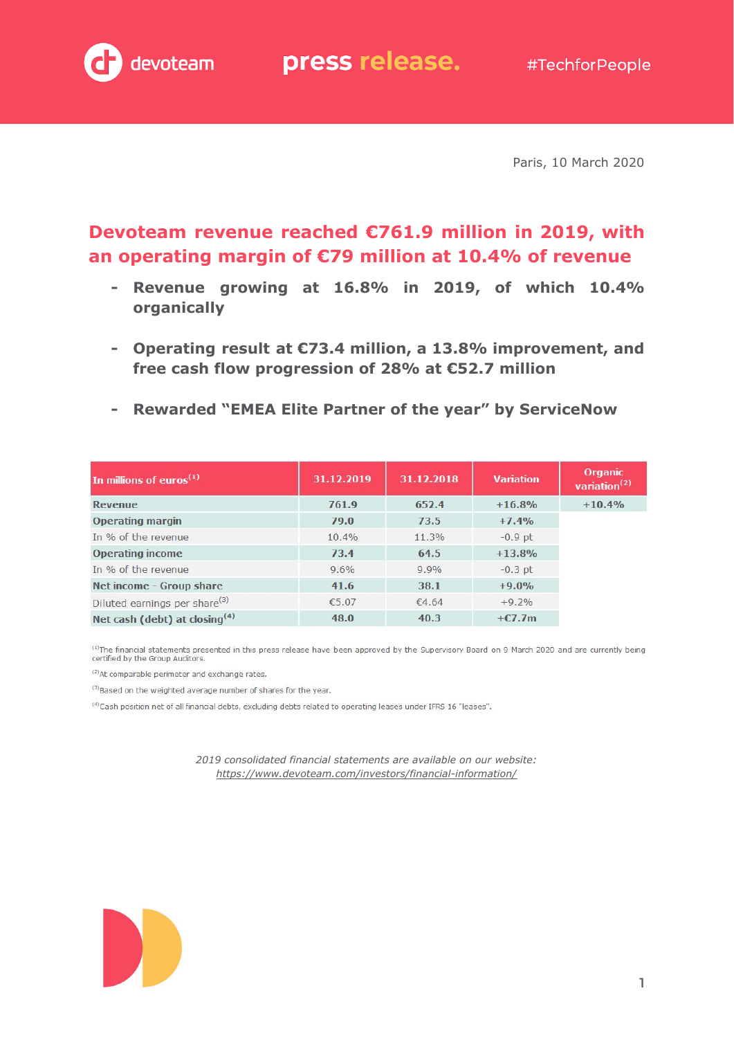

Paris, 10 March 2020

## **Devoteam revenue reached €761.9 million in 2019, with an operating margin of €79 million at 10.4% of revenue**

- **- Revenue growing at 16.8% in 2019, of which 10.4% organically**
- **- Operating result at €73.4 million, a 13.8% improvement, and free cash flow progression of 28% at €52.7 million**
- **- Rewarded "EMEA Elite Partner of the year" by ServiceNow**

| In millions of euros $(1)$                | 31.12.2019 | 31.12.2018 | <b>Variation</b> | Organic<br>variation <sup>(2)</sup> |
|-------------------------------------------|------------|------------|------------------|-------------------------------------|
| Revenue                                   | 761.9      | 652.4      | $+16.8%$         | $+10.4%$                            |
| <b>Operating margin</b>                   | 79.0       | 73.5       | $+7.4%$          |                                     |
| In % of the revenue                       | 10.4%      | 11.3%      | $-0.9$ pt        |                                     |
| <b>Operating income</b>                   | 73.4       | 64.5       | $+13.8%$         |                                     |
| In % of the revenue                       | 9.6%       | 9.9%       | $-0.3$ pt        |                                     |
| Net income - Group share                  | 41.6       | 38.1       | $+9.0%$          |                                     |
| Diluted earnings per share <sup>(3)</sup> | €5.07      | €4.64      | $+9.2%$          |                                     |
| Net cash (debt) at closing <sup>(4)</sup> | 48.0       | 40.3       | $+C7.7m$         |                                     |

<sup>(1)</sup>The financial statements presented in this press release have been approved by the Supervisory Board on 9 March 2020 and are currently being certified by the Group Auditors.

(2) At comparable perimeter and exchange rates.

(3) Based on the weighted average number of shares for the year.

(4) Cash position net of all financial debts, excluding debts related to operating leases under IFRS 16 "leases".

*2019 consolidated financial statements are available on our website: <https://www.devoteam.com/investors/financial-information/>*

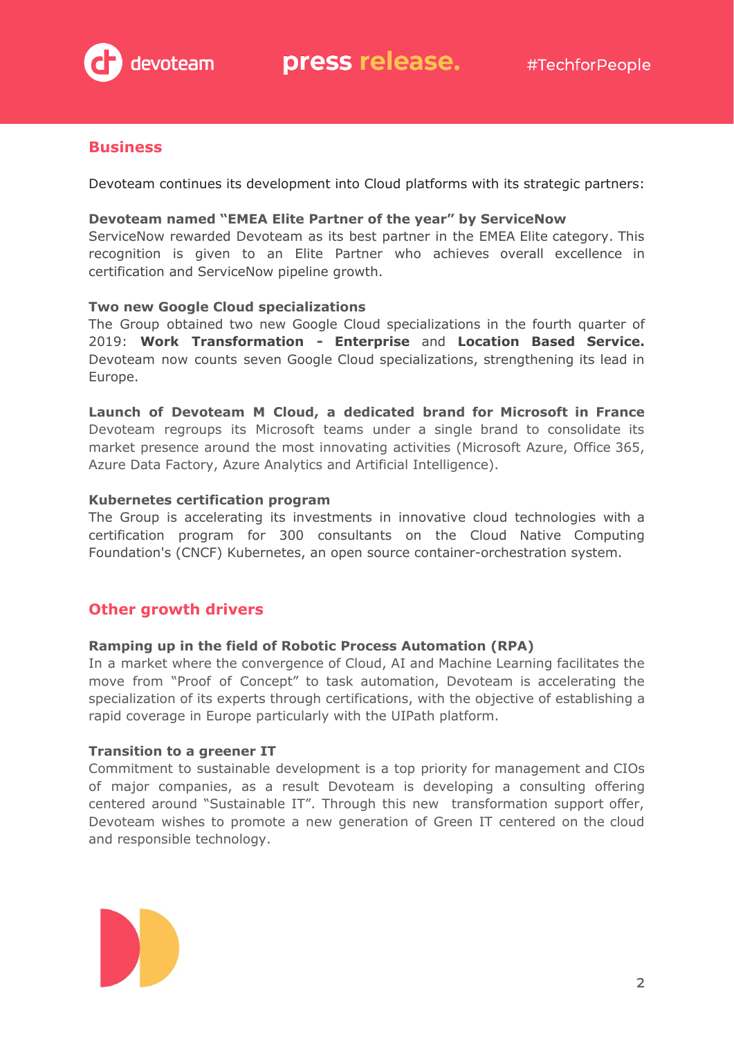

#### **Business**

Devoteam continues its development into Cloud platforms with its strategic partners:

#### **Devoteam named "EMEA Elite Partner of the year" by ServiceNow**

ServiceNow rewarded Devoteam as its best partner in the EMEA Elite category. This recognition is given to an Elite Partner who achieves overall excellence in certification and ServiceNow pipeline growth.

#### **Two new Google Cloud specializations**

The Group obtained two new Google Cloud specializations in the fourth quarter of 2019: **Work Transformation - Enterprise** and **Location Based Service.** Devoteam now counts seven Google Cloud specializations, strengthening its lead in Europe.

**Launch of Devoteam M Cloud, a dedicated brand for Microsoft in France** Devoteam regroups its Microsoft teams under a single brand to consolidate its market presence around the most innovating activities (Microsoft Azure, Office 365, Azure Data Factory, Azure Analytics and Artificial Intelligence).

#### **Kubernetes certification program**

The Group is accelerating its investments in innovative cloud technologies with a certification program for 300 consultants on the Cloud Native Computing Foundation's (CNCF) Kubernetes, an open source container-orchestration system.

#### **Other growth drivers**

#### **Ramping up in the field of Robotic Process Automation (RPA)**

In a market where the convergence of Cloud, AI and Machine Learning facilitates the move from "Proof of Concept" to task automation, Devoteam is accelerating the specialization of its experts through certifications, with the objective of establishing a rapid coverage in Europe particularly with the UIPath platform.

#### **Transition to a greener IT**

Commitment to sustainable development is a top priority for management and CIOs of major companies, as a result Devoteam is developing a consulting offering centered around "Sustainable IT". Through this new transformation support offer, Devoteam wishes to promote a new generation of Green IT centered on the cloud and responsible technology.

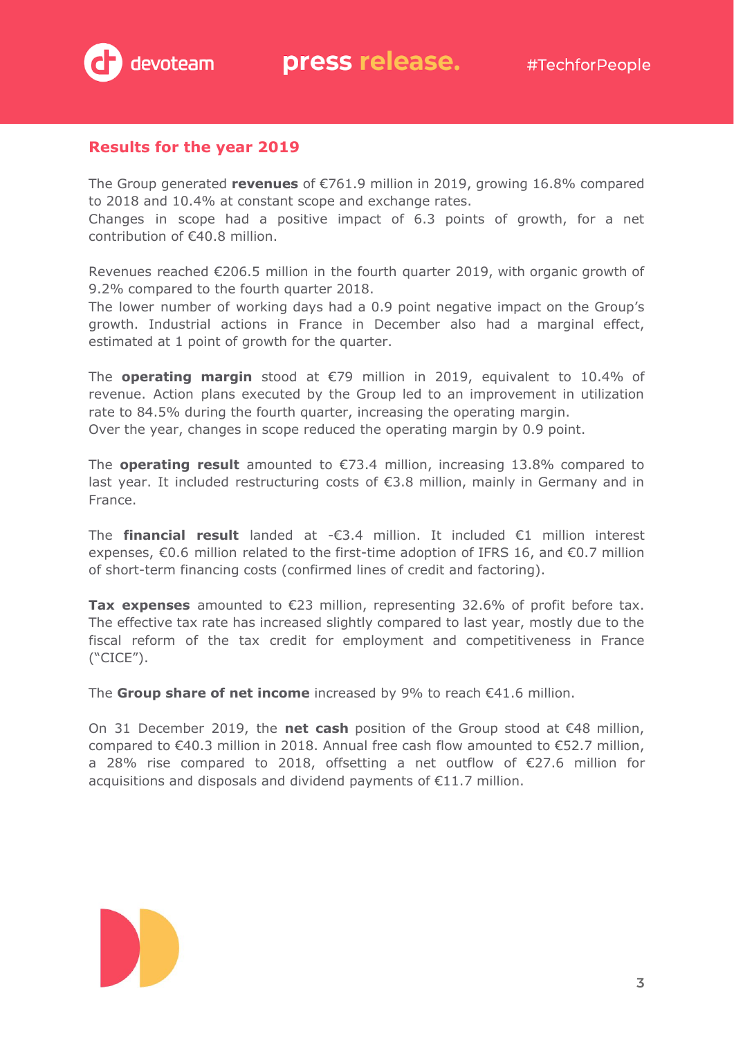

#### **Results for the year 2019**

The Group generated **revenues** of €761.9 million in 2019, growing 16.8% compared to 2018 and 10.4% at constant scope and exchange rates.

Changes in scope had a positive impact of 6.3 points of growth, for a net contribution of €40.8 million.

Revenues reached €206.5 million in the fourth quarter 2019, with organic growth of 9.2% compared to the fourth quarter 2018.

The lower number of working days had a 0.9 point negative impact on the Group's growth. Industrial actions in France in December also had a marginal effect, estimated at 1 point of growth for the quarter.

The **operating margin** stood at €79 million in 2019, equivalent to 10.4% of revenue. Action plans executed by the Group led to an improvement in utilization rate to 84.5% during the fourth quarter, increasing the operating margin. Over the year, changes in scope reduced the operating margin by 0.9 point.

The **operating result** amounted to €73.4 million, increasing 13.8% compared to last year. It included restructuring costs of €3.8 million, mainly in Germany and in France.

The **financial result** landed at -€3.4 million. It included €1 million interest expenses, €0.6 million related to the first-time adoption of IFRS 16, and €0.7 million of short-term financing costs (confirmed lines of credit and factoring).

**Tax expenses** amounted to €23 million, representing 32.6% of profit before tax. The effective tax rate has increased slightly compared to last year, mostly due to the fiscal reform of the tax credit for employment and competitiveness in France ("CICE").

The **Group share of net income** increased by 9% to reach €41.6 million.

On 31 December 2019, the **net cash** position of the Group stood at €48 million, compared to €40.3 million in 2018. Annual free cash flow amounted to €52.7 million, a 28% rise compared to 2018, offsetting a net outflow of €27.6 million for acquisitions and disposals and dividend payments of €11.7 million.

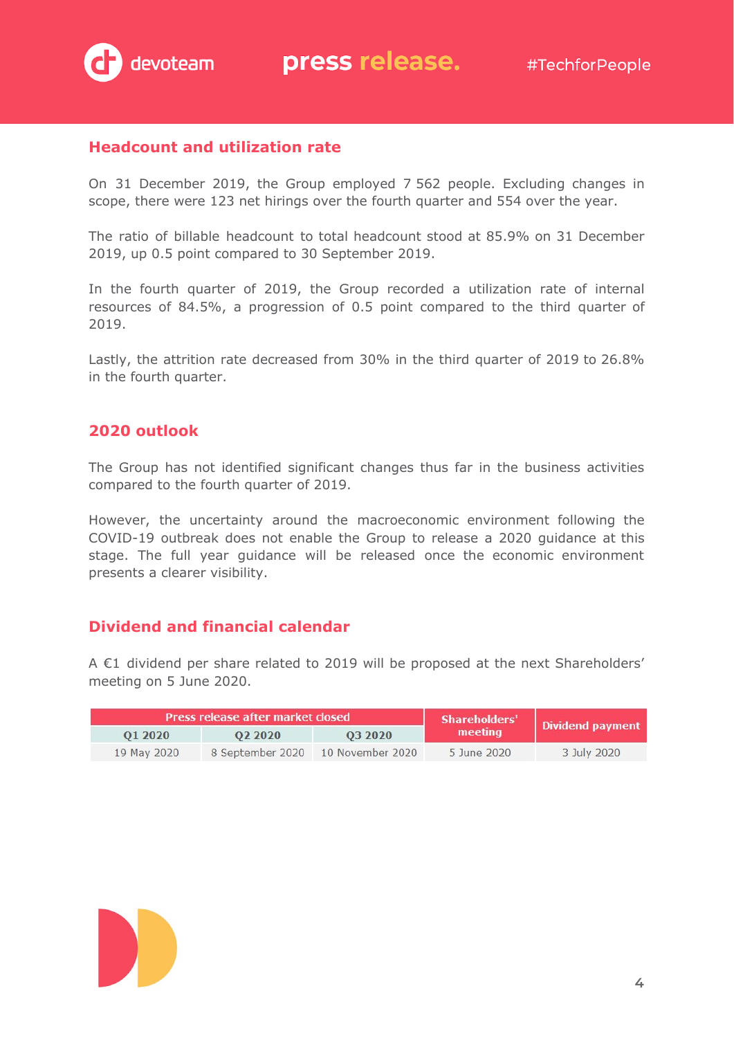

#### **Headcount and utilization rate**

On 31 December 2019, the Group employed 7 562 people. Excluding changes in scope, there were 123 net hirings over the fourth quarter and 554 over the year.

The ratio of billable headcount to total headcount stood at 85.9% on 31 December 2019, up 0.5 point compared to 30 September 2019.

In the fourth quarter of 2019, the Group recorded a utilization rate of internal resources of 84.5%, a progression of 0.5 point compared to the third quarter of 2019.

Lastly, the attrition rate decreased from 30% in the third quarter of 2019 to 26.8% in the fourth quarter.

#### **2020 outlook**

The Group has not identified significant changes thus far in the business activities compared to the fourth quarter of 2019.

However, the uncertainty around the macroeconomic environment following the COVID-19 outbreak does not enable the Group to release a 2020 guidance at this stage. The full year guidance will be released once the economic environment presents a clearer visibility.

#### **Dividend and financial calendar**

A €1 dividend per share related to 2019 will be proposed at the next Shareholders' meeting on 5 June 2020.

|             | <b>Press release after market closed</b> |                  | Shareholders' | Dividend payment |  |
|-------------|------------------------------------------|------------------|---------------|------------------|--|
| 01 2020     | 02 20 20                                 | 03 20 20         | meeting       |                  |  |
| 19 May 2020 | 8 September 2020                         | 10 November 2020 | 5 June 2020   | 3 July 2020      |  |

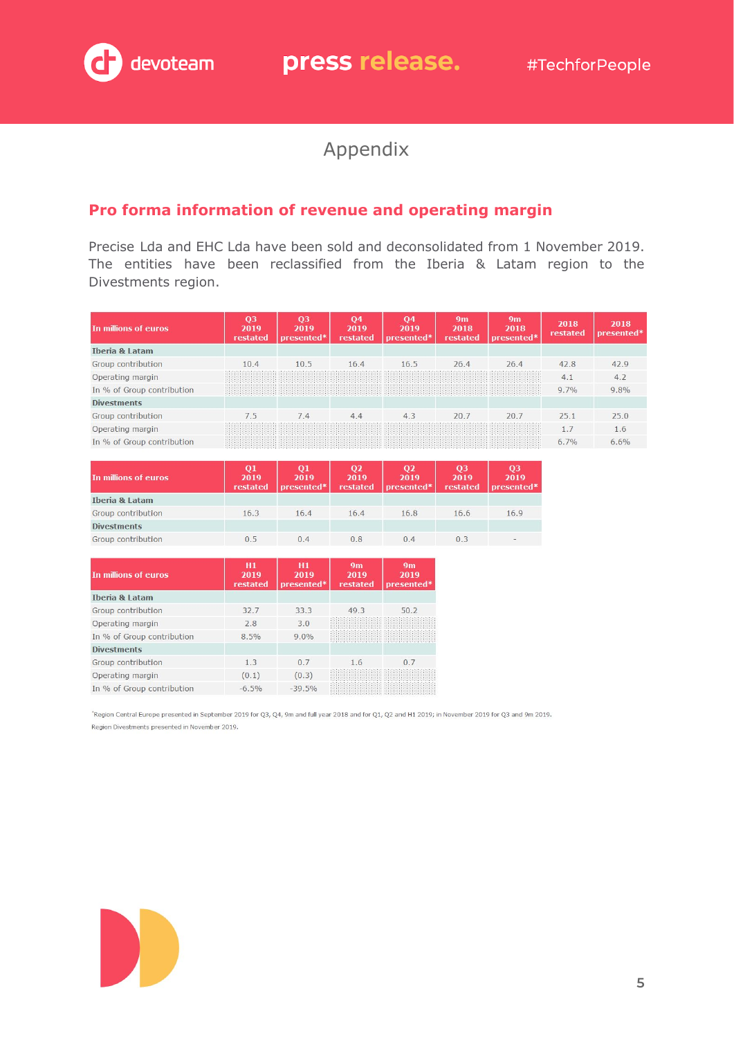# Appendix

## **Pro forma information of revenue and operating margin**

Precise Lda and EHC Lda have been sold and deconsolidated from 1 November 2019. The entities have been reclassified from the Iberia & Latam region to the Divestments region.

| In millions of euros       | Q <sub>3</sub><br>2019<br>restated | 03<br>2019<br>presented* | 04<br>2019<br>restated | 04<br>2019<br>presented* | 9 <sub>m</sub><br>2018<br>restated | 9m<br>2018<br>presented* | 2018<br>restated | 2018<br>presented* |
|----------------------------|------------------------------------|--------------------------|------------------------|--------------------------|------------------------------------|--------------------------|------------------|--------------------|
| <b>Iberia &amp; Latam</b>  |                                    |                          |                        |                          |                                    |                          |                  |                    |
| Group contribution         | 10.4                               | 10.5                     | 16.4                   | 16.5                     | 26.4                               | 26.4                     | 42.8             | 42.9               |
| Operating margin           |                                    |                          |                        |                          |                                    |                          | 4.1              | 4.2                |
| In % of Group contribution |                                    |                          |                        |                          |                                    |                          | 9.7%             | 9.8%               |
| <b>Divestments</b>         |                                    |                          |                        |                          |                                    |                          |                  |                    |
| Group contribution         | 7.5                                | 7.4                      | 4.4                    | 4.3                      | 20.7                               | 20.7                     | 25.1             | 25.0               |
| Operating margin           |                                    |                          |                        |                          |                                    |                          | 1.7              | 1.6                |
| In % of Group contribution |                                    |                          |                        |                          |                                    |                          | 6.7%             | 6.6%               |

| In millions of euros      | Q1<br>2019<br>restated | Q1<br>2019<br>presented* | Q <sub>2</sub><br>2019<br>restated | Q <sub>2</sub><br>2019<br>presented* | Q <sub>3</sub><br>2019<br>restated | Q <sub>3</sub><br>2019<br>presented*                                                                                                                                                                                                                                                                                                                                                                                                                                       |
|---------------------------|------------------------|--------------------------|------------------------------------|--------------------------------------|------------------------------------|----------------------------------------------------------------------------------------------------------------------------------------------------------------------------------------------------------------------------------------------------------------------------------------------------------------------------------------------------------------------------------------------------------------------------------------------------------------------------|
| <b>Iberia &amp; Latam</b> |                        |                          |                                    |                                      |                                    |                                                                                                                                                                                                                                                                                                                                                                                                                                                                            |
| Group contribution        | 16.3                   | 16.4                     | 16.4                               | 16.8                                 | 16.6                               | 16.9                                                                                                                                                                                                                                                                                                                                                                                                                                                                       |
| <b>Divestments</b>        |                        |                          |                                    |                                      |                                    |                                                                                                                                                                                                                                                                                                                                                                                                                                                                            |
| Group contribution        | 0.5                    | 0.4                      | 0.8                                | 0.4                                  | 0.3                                | $\frac{1}{2} \left( \frac{1}{2} \right) \left( \frac{1}{2} \right) \left( \frac{1}{2} \right) \left( \frac{1}{2} \right) \left( \frac{1}{2} \right) \left( \frac{1}{2} \right) \left( \frac{1}{2} \right) \left( \frac{1}{2} \right) \left( \frac{1}{2} \right) \left( \frac{1}{2} \right) \left( \frac{1}{2} \right) \left( \frac{1}{2} \right) \left( \frac{1}{2} \right) \left( \frac{1}{2} \right) \left( \frac{1}{2} \right) \left( \frac{1}{2} \right) \left( \frac$ |

| In millions of euros       | H1<br>2019<br>restated | H1<br>2019<br>presented* | 9m<br>2019<br>restated | 9 <sub>m</sub><br>2019<br>presented* |
|----------------------------|------------------------|--------------------------|------------------------|--------------------------------------|
| Theria & Latam             |                        |                          |                        |                                      |
| Group contribution         | 32.7                   | 33.3                     | 49.3                   | 50.2                                 |
| Operating margin           | 2.8                    | 3.0                      |                        |                                      |
| In % of Group contribution | 8.5%                   | 9.0%                     |                        |                                      |
| <b>Divestments</b>         |                        |                          |                        |                                      |
| Group contribution         | 1.3                    | 0.7                      | 1.6                    | 0.7                                  |
| Operating margin           | (0.1)                  | (0.3)                    |                        |                                      |
| In % of Group contribution | $-6.5%$                | $-39.5%$                 |                        |                                      |

kegion Central Europe presented in September 2019 for Q3, Q4, 9m and full year 2018 and for Q1, Q2 and H1 2019; in November 2019 for Q3 and 9m 2019. Region Divestments presented in November 2019.

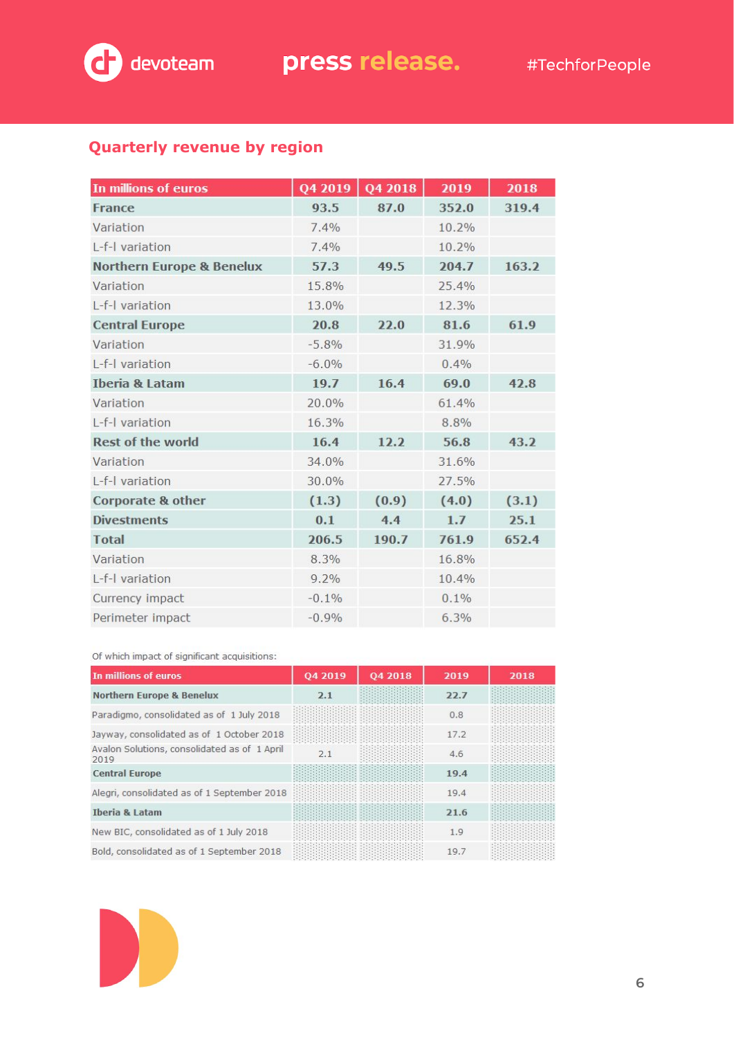

## **Quarterly revenue by region**

| In millions of euros                 | Q4 2019 | Q4 2018 | 2019  | 2018  |
|--------------------------------------|---------|---------|-------|-------|
| <b>France</b>                        | 93.5    | 87.0    | 352.0 | 319.4 |
| Variation                            | 7.4%    |         | 10.2% |       |
| L-f-I variation                      | 7.4%    |         | 10.2% |       |
| <b>Northern Europe &amp; Benelux</b> | 57.3    | 49.5    | 204.7 | 163.2 |
| Variation                            | 15.8%   |         | 25.4% |       |
| L-f-I variation                      | 13.0%   |         | 12.3% |       |
| <b>Central Europe</b>                | 20.8    | 22.0    | 81.6  | 61.9  |
| Variation                            | $-5.8%$ |         | 31.9% |       |
| L-f-I variation                      | $-6.0%$ |         | 0.4%  |       |
| <b>Iberia &amp; Latam</b>            | 19.7    | 16.4    | 69.0  | 42.8  |
| Variation                            | 20.0%   |         | 61.4% |       |
| L-f-I variation                      | 16.3%   |         | 8.8%  |       |
| <b>Rest of the world</b>             | 16.4    | 12.2    | 56.8  | 43.2  |
| Variation                            | 34.0%   |         | 31.6% |       |
| L-f-I variation                      | 30.0%   |         | 27.5% |       |
| <b>Corporate &amp; other</b>         | (1.3)   | (0.9)   | (4.0) | (3.1) |
| <b>Divestments</b>                   | 0.1     | 4.4     | 1.7   | 25.1  |
| <b>Total</b>                         | 206.5   | 190.7   | 761.9 | 652.4 |
| Variation                            | 8.3%    |         | 16.8% |       |
| L-f-I variation                      | 9.2%    |         | 10.4% |       |
| Currency impact                      | $-0.1%$ |         | 0.1%  |       |
| Perimeter impact                     | $-0.9%$ |         | 6.3%  |       |

#### Of which impact of significant acquisitions:

| In millions of euros                                 | 04 2019 | 04 2018 | 2019 | 2018 |
|------------------------------------------------------|---------|---------|------|------|
| <b>Northern Europe &amp; Benelux</b>                 | 2.1     |         | 22.7 |      |
| Paradigmo, consolidated as of 1 July 2018            |         |         | 0.8  |      |
| Jayway, consolidated as of 1 October 2018            |         |         | 17.2 |      |
| Avalon Solutions, consolidated as of 1 April<br>2019 | 2.1     |         | 4.6  |      |
| <b>Central Europe</b>                                |         |         | 19.4 |      |
| Alegri, consolidated as of 1 September 2018          |         |         | 19.4 |      |
| <b>Iberia &amp; Latam</b>                            |         |         | 21.6 |      |
| New BIC, consolidated as of 1 July 2018              |         |         | 1.9  |      |
| Bold, consolidated as of 1 September 2018            |         |         | 19.7 |      |

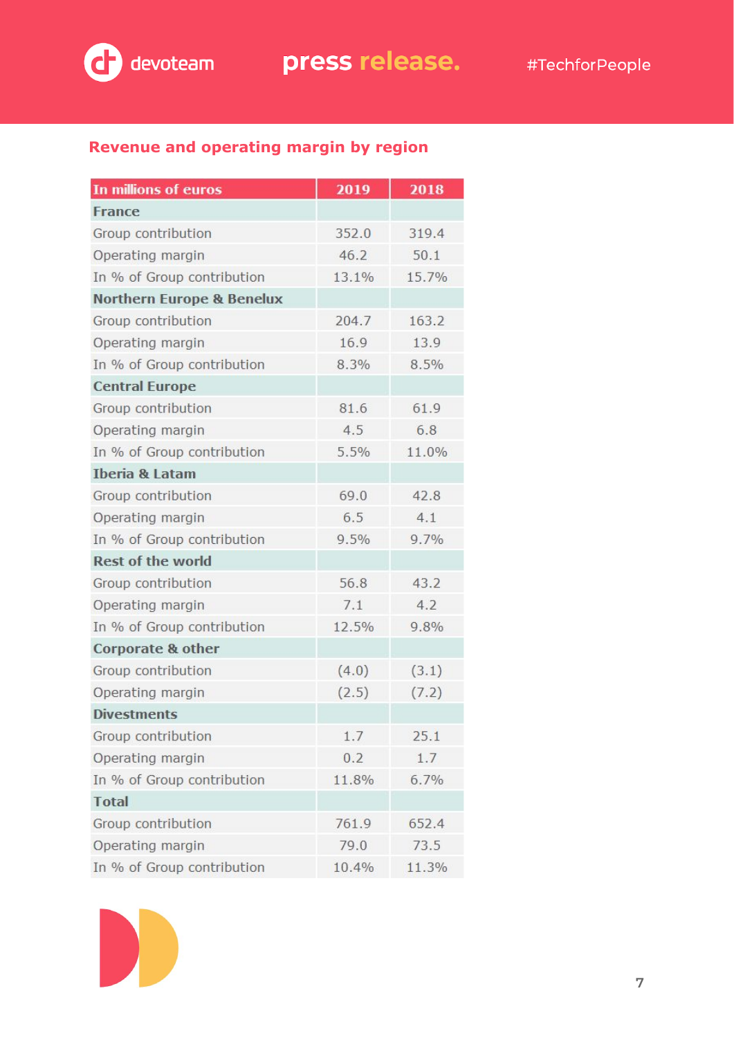

## **Revenue and operating margin by region**

| In millions of euros                 | 2019  | 2018  |
|--------------------------------------|-------|-------|
| <b>France</b>                        |       |       |
| Group contribution                   | 352.0 | 319.4 |
| Operating margin                     | 46.2  | 50.1  |
| In % of Group contribution           | 13.1% | 15.7% |
| <b>Northern Europe &amp; Benelux</b> |       |       |
| Group contribution                   | 204.7 | 163.2 |
| Operating margin                     | 16.9  | 13.9  |
| In % of Group contribution           | 8.3%  | 8.5%  |
| <b>Central Europe</b>                |       |       |
| Group contribution                   | 81.6  | 61.9  |
| Operating margin                     | 4.5   | 6.8   |
| In % of Group contribution           | 5.5%  | 11.0% |
| <b>Iberia &amp; Latam</b>            |       |       |
| Group contribution                   | 69.0  | 42.8  |
| Operating margin                     | 6.5   | 4.1   |
| In % of Group contribution           | 9.5%  | 9.7%  |
| <b>Rest of the world</b>             |       |       |
| Group contribution                   | 56.8  | 43.2  |
| Operating margin                     | 7.1   | 4.2   |
| In % of Group contribution           | 12.5% | 9.8%  |
| Corporate & other                    |       |       |
| Group contribution                   | (4.0) | (3.1) |
| Operating margin                     | (2.5) | (7.2) |
| <b>Divestments</b>                   |       |       |
| Group contribution                   | 1.7   | 25.1  |
| Operating margin                     | 0.2   | 1.7   |
| In % of Group contribution           | 11.8% | 6.7%  |
| <b>Total</b>                         |       |       |
| Group contribution                   | 761.9 | 652.4 |
| Operating margin                     | 79.0  | 73.5  |
| In % of Group contribution           | 10.4% | 11.3% |

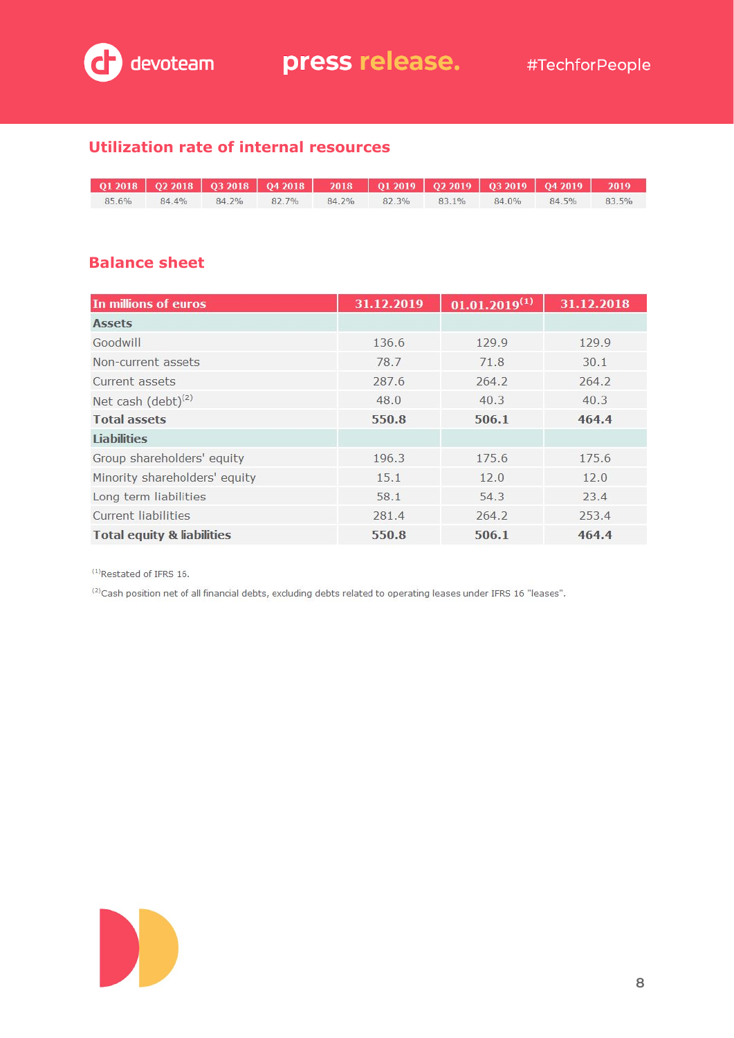

## **Utilization rate of internal resources**

| 85.6% | $84.4\%$ | 84.2% 82.7% | 84.2% 82.3% 83.1% 84.0% |  | 84.5% | 83.5% |
|-------|----------|-------------|-------------------------|--|-------|-------|

#### **Balance sheet**

| In millions of euros                  | 31.12.2019 | $01.01.2019^{(1)}$ | 31.12.2018 |
|---------------------------------------|------------|--------------------|------------|
| <b>Assets</b>                         |            |                    |            |
| Goodwill                              | 136.6      | 129.9              | 129.9      |
| Non-current assets                    | 78.7       | 71.8               | 30.1       |
| Current assets                        | 287.6      | 264.2              | 264.2      |
| Net cash $(debt)^{(2)}$               | 48.0       | 40.3               | 40.3       |
| <b>Total assets</b>                   | 550.8      | 506.1              | 464.4      |
| <b>Liabilities</b>                    |            |                    |            |
| Group shareholders' equity            | 196.3      | 175.6              | 175.6      |
| Minority shareholders' equity         | 15.1       | 12.0               | 12.0       |
| Long term liabilities                 | 58.1       | 54.3               | 23.4       |
| <b>Current liabilities</b>            | 281.4      | 264.2              | 253.4      |
| <b>Total equity &amp; liabilities</b> | 550.8      | 506.1              | 464.4      |

 $(1)$ Restated of IFRS 16.

(2) Cash position net of all financial debts, excluding debts related to operating leases under IFRS 16 "leases".

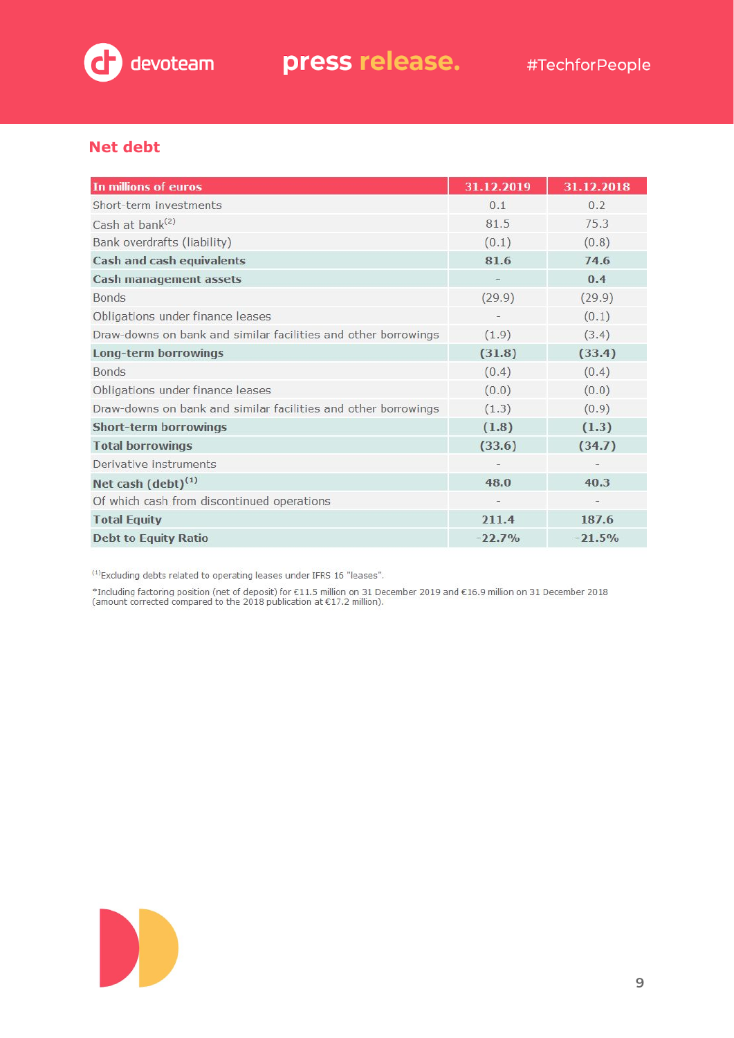

### **Net debt**

| In millions of euros                                           | 31.12.2019        | 31.12.2018 |
|----------------------------------------------------------------|-------------------|------------|
| Short-term investments                                         | 0.1               | 0.2        |
| Cash at bank <sup>(2)</sup>                                    | 81.5              | 75.3       |
| Bank overdrafts (liability)                                    | (0.1)             | (0.8)      |
| Cash and cash equivalents                                      | 81.6              | 74.6       |
| <b>Cash management assets</b>                                  |                   | 0.4        |
| <b>Bonds</b>                                                   | (29.9)            | (29.9)     |
| Obligations under finance leases                               | $\qquad \qquad -$ | (0.1)      |
| Draw-downs on bank and similar facilities and other borrowings | (1.9)             | (3.4)      |
| <b>Long-term borrowings</b>                                    | (31.8)            | (33.4)     |
| <b>Bonds</b>                                                   | (0.4)             | (0.4)      |
| Obligations under finance leases                               | (0.0)             | (0.0)      |
| Draw-downs on bank and similar facilities and other borrowings | (1.3)             | (0.9)      |
| <b>Short-term borrowings</b>                                   | (1.8)             | (1.3)      |
| <b>Total borrowings</b>                                        | (33.6)            | (34.7)     |
| Derivative instruments                                         |                   |            |
| Net cash $(debt)^{(1)}$                                        | 48.0              | 40.3       |
| Of which cash from discontinued operations                     |                   |            |
| <b>Total Equity</b>                                            | 211.4             | 187.6      |
| <b>Debt to Equity Ratio</b>                                    | $-22.7%$          | $-21.5%$   |

<sup>(1)</sup> Excluding debts related to operating leases under IFRS 16 "leases".

\*Including factoring position (net of deposit) for €11.5 million on 31 December 2019 and €16.9 million on 31 December 2018<br>(amount corrected compared to the 2018 publication at €17.2 million).

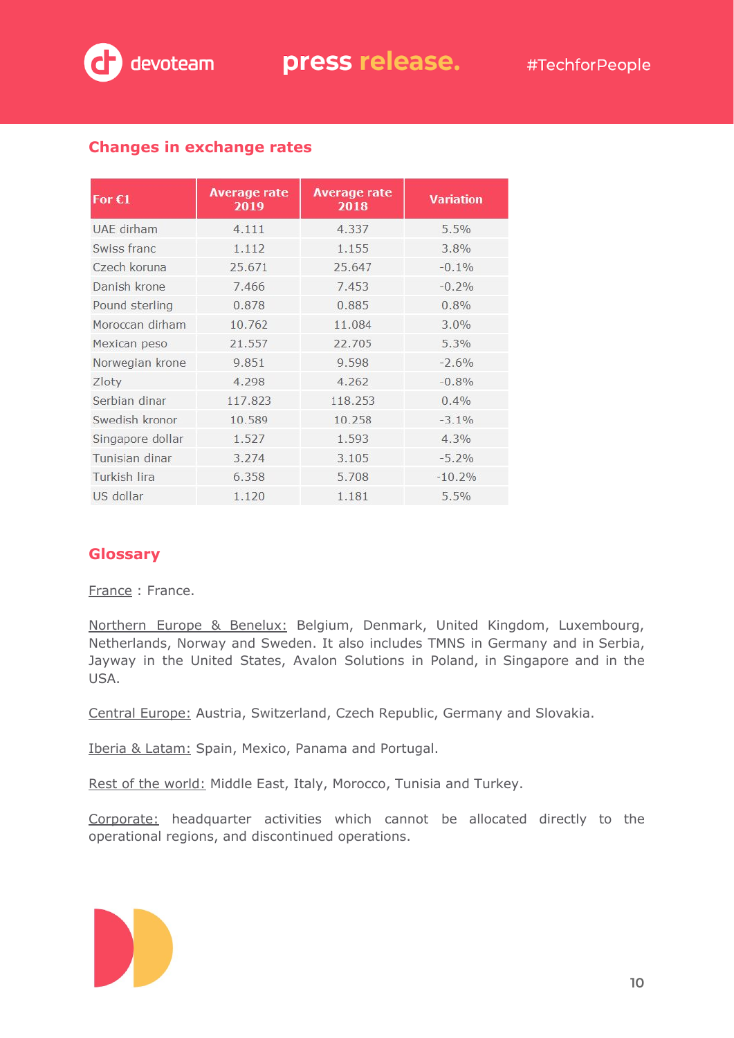

## **Changes in exchange rates**

| For $C1$          | <b>Average rate</b><br>2019 | <b>Average rate</b><br>2018 | <b>Variation</b> |
|-------------------|-----------------------------|-----------------------------|------------------|
| <b>UAE</b> dirham | 4.111                       | 4.337                       | 5.5%             |
| Swiss franc       | 1.112                       | 1.155                       | 3.8%             |
| Czech koruna      | 25.671                      | 25.647                      | $-0.1%$          |
| Danish krone      | 7.466                       | 7.453                       | $-0.2%$          |
| Pound sterling    | 0.878                       | 0.885                       | 0.8%             |
| Moroccan dirham   | 10.762                      | 11.084                      | $3.0\%$          |
| Mexican peso      | 21.557                      | 22.705                      | 5.3%             |
| Norwegian krone   | 9.851                       | 9.598                       | $-2.6%$          |
| Zloty             | 4.298                       | 4.262                       | $-0.8%$          |
| Serbian dinar     | 117.823                     | 118.253                     | $0.4\%$          |
| Swedish kronor    | 10.589                      | 10.258                      | $-3.1%$          |
| Singapore dollar  | 1.527                       | 1.593                       | 4.3%             |
| Tunisian dinar    | 3.274                       | 3.105                       | $-5.2%$          |
| Turkish lira      | 6.358                       | 5.708                       | $-10.2%$         |
| US dollar         | 1.120                       | 1.181                       | 5.5%             |

### **Glossary**

France : France.

Northern Europe & Benelux: Belgium, Denmark, United Kingdom, Luxembourg, Netherlands, Norway and Sweden. It also includes TMNS in Germany and in Serbia, Jayway in the United States, Avalon Solutions in Poland, in Singapore and in the USA.

Central Europe: Austria, Switzerland, Czech Republic, Germany and Slovakia.

Iberia & Latam: Spain, Mexico, Panama and Portugal.

Rest of the world: Middle East, Italy, Morocco, Tunisia and Turkey.

Corporate: headquarter activities which cannot be allocated directly to the operational regions, and discontinued operations.

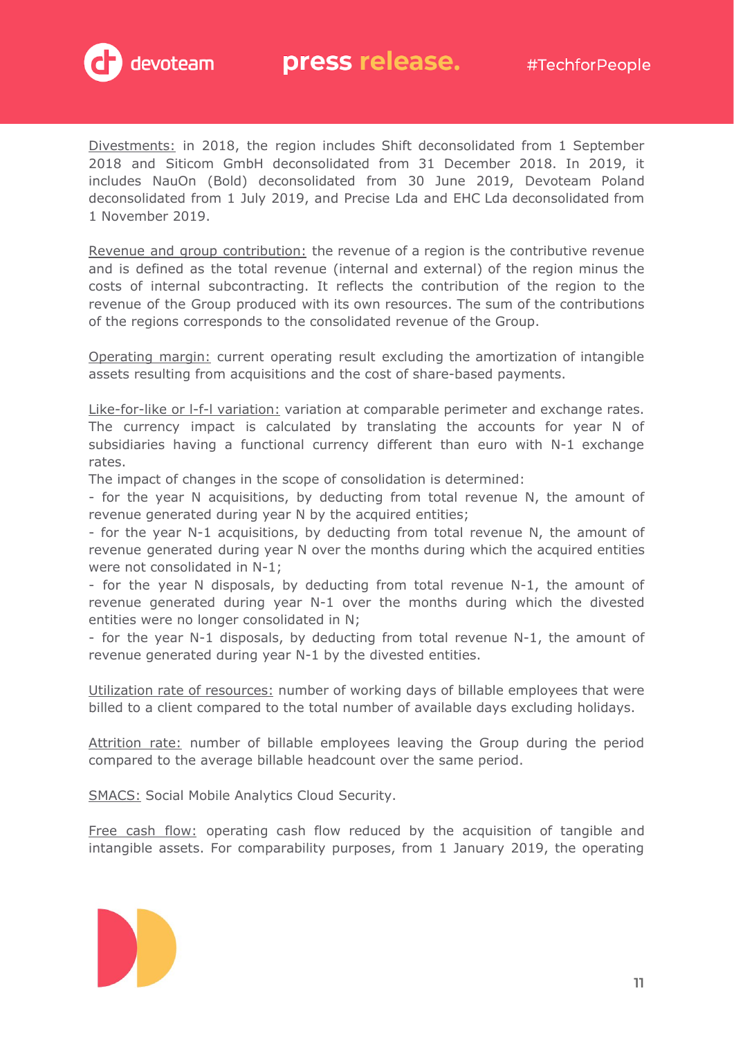

Divestments: in 2018, the region includes Shift deconsolidated from 1 September 2018 and Siticom GmbH deconsolidated from 31 December 2018. In 2019, it includes NauOn (Bold) deconsolidated from 30 June 2019, Devoteam Poland deconsolidated from 1 July 2019, and Precise Lda and EHC Lda deconsolidated from 1 November 2019.

Revenue and group contribution: the revenue of a region is the contributive revenue and is defined as the total revenue (internal and external) of the region minus the costs of internal subcontracting. It reflects the contribution of the region to the revenue of the Group produced with its own resources. The sum of the contributions of the regions corresponds to the consolidated revenue of the Group.

Operating margin: current operating result excluding the amortization of intangible assets resulting from acquisitions and the cost of share-based payments.

Like-for-like or I-f-I variation: variation at comparable perimeter and exchange rates. The currency impact is calculated by translating the accounts for year N of subsidiaries having a functional currency different than euro with N-1 exchange rates.

The impact of changes in the scope of consolidation is determined:

- for the year N acquisitions, by deducting from total revenue N, the amount of revenue generated during year N by the acquired entities;

- for the year N-1 acquisitions, by deducting from total revenue N, the amount of revenue generated during year N over the months during which the acquired entities were not consolidated in N-1;

- for the year N disposals, by deducting from total revenue N-1, the amount of revenue generated during year N-1 over the months during which the divested entities were no longer consolidated in N;

- for the year N-1 disposals, by deducting from total revenue N-1, the amount of revenue generated during year N-1 by the divested entities.

Utilization rate of resources: number of working days of billable employees that were billed to a client compared to the total number of available days excluding holidays.

Attrition rate: number of billable employees leaving the Group during the period compared to the average billable headcount over the same period.

SMACS: Social Mobile Analytics Cloud Security.

Free cash flow: operating cash flow reduced by the acquisition of tangible and intangible assets. For comparability purposes, from 1 January 2019, the operating

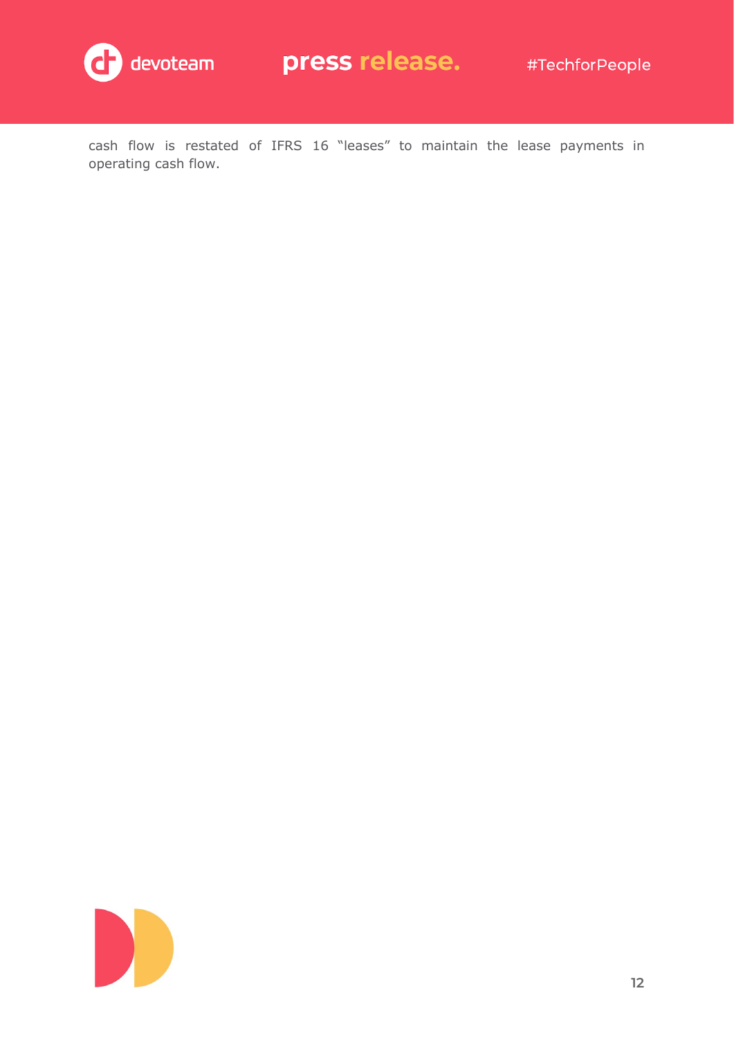

cash flow is restated of IFRS 16 "leases" to maintain the lease payments in operating cash flow.